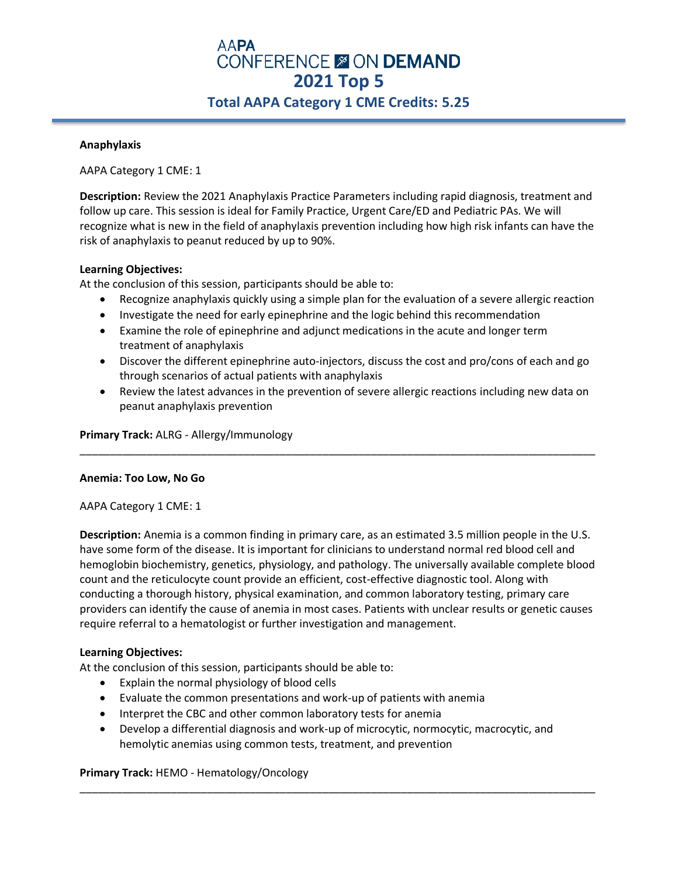# **AAPA CONFERENCE & ON DEMAND 2021 Top 5 Total AAPA Category 1 CME Credits: 5.25**

### **Anaphylaxis**

AAPA Category 1 CME: 1

**Description:** Review the 2021 Anaphylaxis Practice Parameters including rapid diagnosis, treatment and follow up care. This session is ideal for Family Practice, Urgent Care/ED and Pediatric PAs. We will recognize what is new in the field of anaphylaxis prevention including how high risk infants can have the risk of anaphylaxis to peanut reduced by up to 90%.

## **Learning Objectives:**

At the conclusion of this session, participants should be able to:

- Recognize anaphylaxis quickly using a simple plan for the evaluation of a severe allergic reaction
- Investigate the need for early epinephrine and the logic behind this recommendation
- Examine the role of epinephrine and adjunct medications in the acute and longer term treatment of anaphylaxis
- Discover the different epinephrine auto-injectors, discuss the cost and pro/cons of each and go through scenarios of actual patients with anaphylaxis
- Review the latest advances in the prevention of severe allergic reactions including new data on peanut anaphylaxis prevention

\_\_\_\_\_\_\_\_\_\_\_\_\_\_\_\_\_\_\_\_\_\_\_\_\_\_\_\_\_\_\_\_\_\_\_\_\_\_\_\_\_\_\_\_\_\_\_\_\_\_\_\_\_\_\_\_\_\_\_\_\_\_\_\_\_\_\_\_\_\_\_\_\_\_\_\_\_\_\_\_\_\_\_\_\_

**Primary Track:** ALRG - Allergy/Immunology

## **Anemia: Too Low, No Go**

AAPA Category 1 CME: 1

**Description:** Anemia is a common finding in primary care, as an estimated 3.5 million people in the U.S. have some form of the disease. It is important for clinicians to understand normal red blood cell and hemoglobin biochemistry, genetics, physiology, and pathology. The universally available complete blood count and the reticulocyte count provide an efficient, cost-effective diagnostic tool. Along with conducting a thorough history, physical examination, and common laboratory testing, primary care providers can identify the cause of anemia in most cases. Patients with unclear results or genetic causes require referral to a hematologist or further investigation and management.

## **Learning Objectives:**

At the conclusion of this session, participants should be able to:

- Explain the normal physiology of blood cells
- Evaluate the common presentations and work-up of patients with anemia
- Interpret the CBC and other common laboratory tests for anemia
- Develop a differential diagnosis and work-up of microcytic, normocytic, macrocytic, and hemolytic anemias using common tests, treatment, and prevention

\_\_\_\_\_\_\_\_\_\_\_\_\_\_\_\_\_\_\_\_\_\_\_\_\_\_\_\_\_\_\_\_\_\_\_\_\_\_\_\_\_\_\_\_\_\_\_\_\_\_\_\_\_\_\_\_\_\_\_\_\_\_\_\_\_\_\_\_\_\_\_\_\_\_\_\_\_\_\_\_\_\_\_\_\_

## **Primary Track:** HEMO - Hematology/Oncology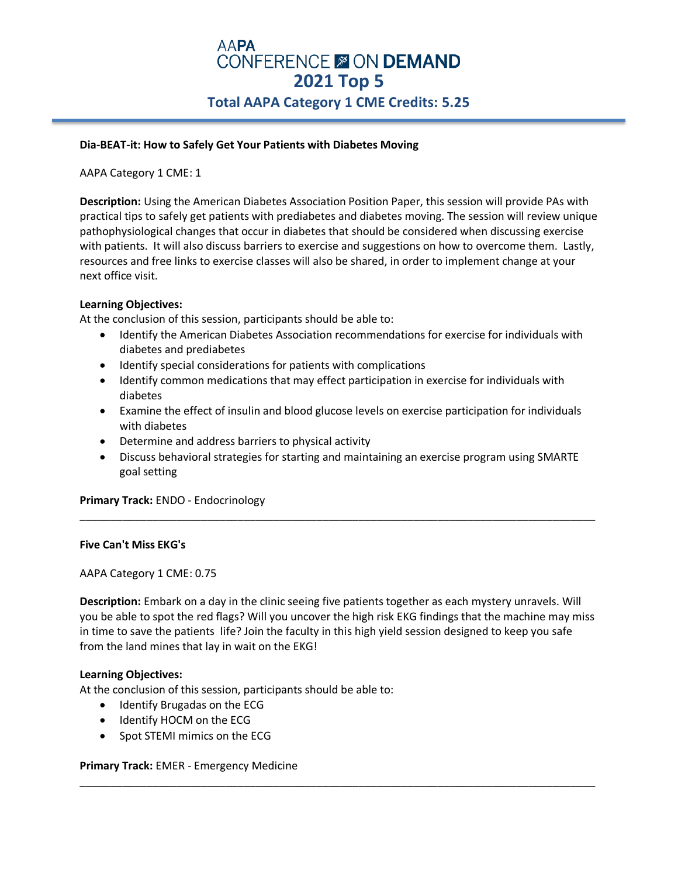# **AAPA CONFERENCE & ON DEMAND 2021 Top 5 Total AAPA Category 1 CME Credits: 5.25**

### **Dia-BEAT-it: How to Safely Get Your Patients with Diabetes Moving**

AAPA Category 1 CME: 1

**Description:** Using the American Diabetes Association Position Paper, this session will provide PAs with practical tips to safely get patients with prediabetes and diabetes moving. The session will review unique pathophysiological changes that occur in diabetes that should be considered when discussing exercise with patients. It will also discuss barriers to exercise and suggestions on how to overcome them. Lastly, resources and free links to exercise classes will also be shared, in order to implement change at your next office visit.

### **Learning Objectives:**

At the conclusion of this session, participants should be able to:

- Identify the American Diabetes Association recommendations for exercise for individuals with diabetes and prediabetes
- Identify special considerations for patients with complications
- Identify common medications that may effect participation in exercise for individuals with diabetes
- Examine the effect of insulin and blood glucose levels on exercise participation for individuals with diabetes
- Determine and address barriers to physical activity
- Discuss behavioral strategies for starting and maintaining an exercise program using SMARTE goal setting

\_\_\_\_\_\_\_\_\_\_\_\_\_\_\_\_\_\_\_\_\_\_\_\_\_\_\_\_\_\_\_\_\_\_\_\_\_\_\_\_\_\_\_\_\_\_\_\_\_\_\_\_\_\_\_\_\_\_\_\_\_\_\_\_\_\_\_\_\_\_\_\_\_\_\_\_\_\_\_\_\_\_\_\_\_

**Primary Track:** ENDO - Endocrinology

#### **Five Can't Miss EKG's**

AAPA Category 1 CME: 0.75

**Description:** Embark on a day in the clinic seeing five patients together as each mystery unravels. Will you be able to spot the red flags? Will you uncover the high risk EKG findings that the machine may miss in time to save the patients life? Join the faculty in this high yield session designed to keep you safe from the land mines that lay in wait on the EKG!

\_\_\_\_\_\_\_\_\_\_\_\_\_\_\_\_\_\_\_\_\_\_\_\_\_\_\_\_\_\_\_\_\_\_\_\_\_\_\_\_\_\_\_\_\_\_\_\_\_\_\_\_\_\_\_\_\_\_\_\_\_\_\_\_\_\_\_\_\_\_\_\_\_\_\_\_\_\_\_\_\_\_\_\_\_

#### **Learning Objectives:**

At the conclusion of this session, participants should be able to:

- Identify Brugadas on the ECG
- Identify HOCM on the ECG
- Spot STEMI mimics on the ECG

#### **Primary Track:** EMER - Emergency Medicine